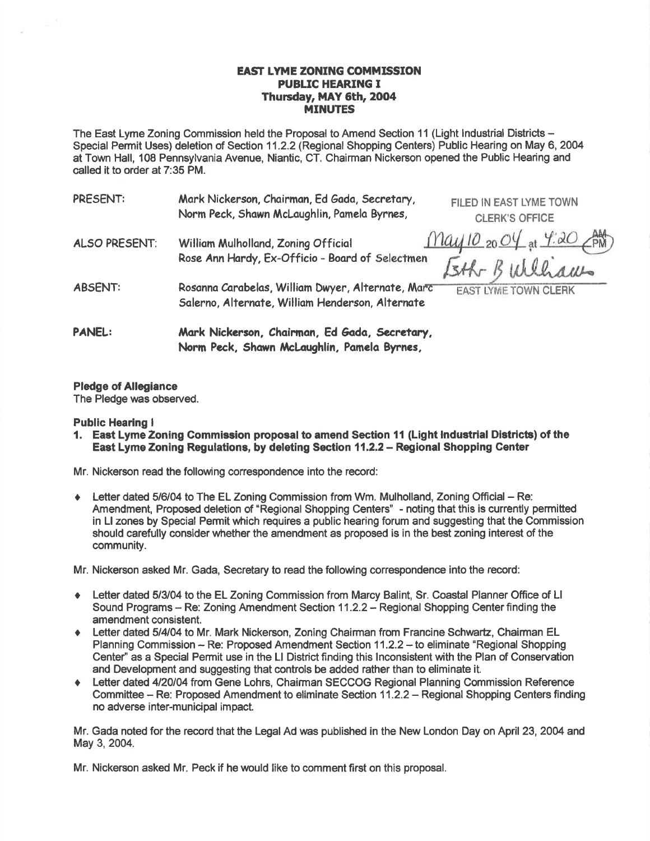## **EAST LYME ZONING COMMISSION PUBLIC HEARING I** Thursday, MAY 6th, 2004 MINUTES

The East Lyme Zoning Commission held the Proposal to Amend Section 11 (Light lndustrial Districts - Special Permit Uses) deletion of Section 11.2.2 (Regional Shopping Centers) Public Hearing on May 6, 2004 at Town Hall, 108 Pennsylvania Avenue, Niantic, CT. Ghairman Nickerson opened the Public Hearing and called it to order at 7:35 PM.

| <b>PRESENT:</b>      | Mark Nickerson, Chairman, Ed Gada, Secretary,<br>Norm Peck, Shawn McLaughlin, Pamela Byrnes,          | FILED IN EAST LYME TOWN<br><b>CLERK'S OFFICE</b> |
|----------------------|-------------------------------------------------------------------------------------------------------|--------------------------------------------------|
| <b>ALSO PRESENT:</b> | William Mulholland, Zoning Official<br>Rose Ann Hardy, Ex-Officio - Board of Selectmen                | $May 10_{20} O4_{at} 4.20 PW$<br>Isth Bulliams   |
| <b>ABSENT:</b>       | Rosanna Carabelas, William Dwyer, Alternate, Marc<br>Salerno, Alternate, William Henderson, Alternate | <b>EAST LYME TOWN CLERK</b>                      |
| <b>PANEL:</b>        | Mark Nickerson, Chairman, Ed Gada, Secretary,<br>Norm Peck, Shawn McLaughlin, Pamela Byrnes,          |                                                  |

## Pledge of Allegiance

The Pledge was observed.

#### Public Hearing <sup>I</sup>

l. East Lyme Zoning Commission proposal to amend Section {1 (Light lndustrlal Dietricts) of the East Lyme Zoning Regulations, by deleting Section 11.2.2 - Regional Shopping Center

Mr. Nickerson read the following correspondence into the record:

Letter dated 5/6/04 to The EL Zoning Commission from Wm. Mulholland, Zoning Official – Re: Amendment, Proposed deletion of "Regional Shopping Centers' - noting that this is currently permitted in Ll zones by Special Permit which requires a public hearing forum and suggesting that the Gommission should carefully consider whether the amendment as proposed is in the best zoning interest of the community.

Mr. Nickerson asked Mr. Gada, Secretary to read the following correspondence into the record:

- Letter dated 5/3/04 to the EL Zoning Commission from Marcy Balint, Sr. Coastal Planner Office of Ll Sound Programs - Re: Zoning Amendment Section 11.2.2 - Regional Shopping Center finding the amendment consistent.
- Letter dated 5/4/04 to Mr. Mark Nickerson, Zoning Chairman from Francine Schwartz, Chairman EL Planning Commission -- Re: Proposed Amendment Section 11.2.2 -- to eliminate "Regional Shopping Center" as a Special Permit use in the LI District finding this Inconsistent with the Plan of Conservation and Development and suggesting that controls be added rather than to eliminate it.
- Letter dated 4/20/04 from Gene Lohrs, Chairman SECCOG Regional Planning Commission Reference Committee - Re: Proposed Amendment to eliminate Section 11.2.2 - Regional Shopping Centers finding no adverse inter-municipal impact.

Mr. Gada noted for the record that the Legal Ad was published in the New London Day on April 23, 20O4 and May 3, 2004.

Mr. Nickerson asked Mr, Peck if he would like to comment first on this proposal.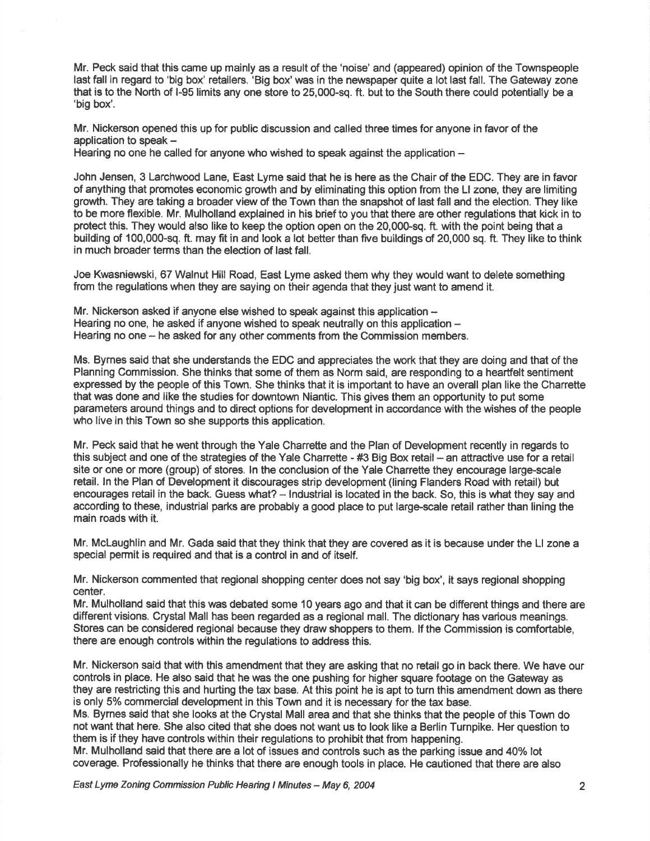Mr. Peck said that this came up mainly as a result of the 'noise' and (appeared) opinion of the Townspeople last fall in regard to 'big box' retailers. 'Big box' was in the newspaper quite a lot last fall. The Gateway zone that is to the North of l-95 limits any one store to 25,000-sq. ft. but to the South there could potentially be a 'big box'.

Mr. Nickerson opened this up for public discussion and called three times for anyone in favor of the application to speak  $-$ 

Hearing no one he called for anyone who wished to speak against the application -

John Jensen, 3 Larchwood Lane, East Lyme said that he is here as the Chair of the EDC. They are in favor of anything that promotes economic growth and by eliminating this option from the Ll zone, they are limiting growth. They are taking a broader view of the Town than the snapshot of last fall and the election. They like to be more flexible. Mr. Mulholland explained in his brief to you that there are other regulations that kick in to protect this. They would also like to keep the option open on the 20,000-sq. ft. with the point being that a building of 100,000-sq. ft. may fit in and look a lot better than five buildings of 20,000 sq. ft. They like to think in much broader terms than the election of last fall.

Joe Kwasniewski, 67 Walnut Hill Road, East Lyme asked them why they would want to delete something from the regulations when they are saying on their agenda that they just want to amend it.

Mr. Nickerson asked if anyone else wished to speak against this application  $-$ Hearing no one, he asked if anyone wished to speak neutrally on this application  $-$ Hearing no one – he asked for any other comments from the Commission members.

Ms. Bymes said that she understands the EDC and appreciates the work that they are doing and that of the Planning Commission. She thinks that some of them as Norm said, are responding to a heartfelt sentiment expressed by the people of this Town. She thinks that it is important to have an overall plan like the Charrette that was done and like the studies for downtown Niantic. This gives them an opportunity to put some parameters around things and to direct options for development in accordance with the wishes of the people who live in this Town so she supports this application.

Mr. Peck said that he went through the Yale Charrette and the Plan of Development recently in regards to this subject and one of the strategies of the Yale Charrette - #3 Big Box retail - an attractive use for a retail site or one or more (group) of stores. ln the conclusion of the Yale Charrette they encourage large-scale retail. ln the Plan of Development it discourages strip development (lining Flanders Road with retail) but encourages retail in the back. Guess what? - Industrial is located in the back. So, this is what they say and according to these, industrial parks are probably a good place to put large-scale retail rather than lining the main roads with it.

Mr. Mclaughlin and Mr. Gada said that they think that they are covered as it is because under the Ll zone a special permit is required and that is a control in and of itself.

Mr. Nickerson commented that regional shopping center does not say 'big box', it says regional shopping center.

Mr. Mulholland said that this was debated some 10 years ago and that it can be different things and there are different visions. Crystal Mall has been regarded as a regional mall. The dictionary has various meanings. Stores can be considered regional because they draw shoppers to them. lf the Commission is comfortable, there are enough controls within the regulations to address this.

Mr. Nickerson said that with this amendment that they are asking that no retail go in back there. We have our controls in place. He also said that he was the one pushing for higher square footage on the Gateway as they are restricting this and hurting the tax base. At this point he is apt to turn this amendment down as there is only 5% commercial development in this Town and it is necessary for the tax base.

Ms. Bymes said that she looks at the Crystal Mall area and that she thinks that the people of this Town do not want that here. She also cited that she does not want us to look like a Berlin Turnpike. Her question to them is if they have controls within their regulations to prohibit that from happening.

Mr. Mulholland said that there are a lot of issues and controls such as the parking issue and 40% lot coverage. Professionally he thinks that there are enough tools in place. He cautioned that there are also

East Lyme Zoning Commission Public Hearing I Mlnutes - May 6, 2004 2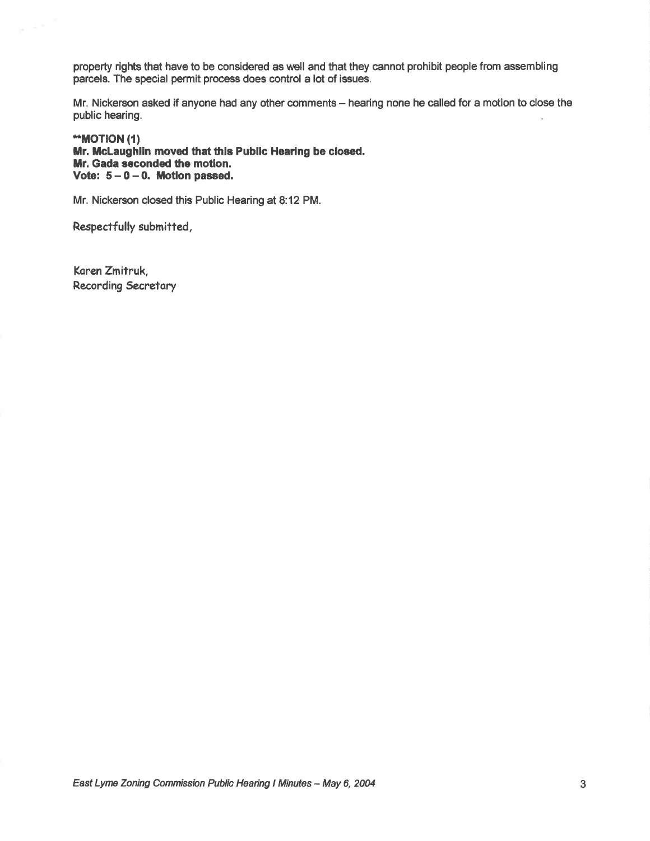property rights that have to be considered as well and that they cannot prohibit people from assembling parcels. The special permit process does control a lot of issues.

Mr. Nickerson asked if anyone had any other comments - hearing none he called for a motion to close the public hearing.

\*\*MOTION (1) Mr. McLaughlin moved that this Public Hearing be closed. Mr. Gada seconded the motion. Vote:  $5-0-0$ . Motion passed.

Mr. Nickerson closed this Public Hearing at 8:12 PM.

Respactfully submitfed,

Koren Zmitruk, Recording Secretary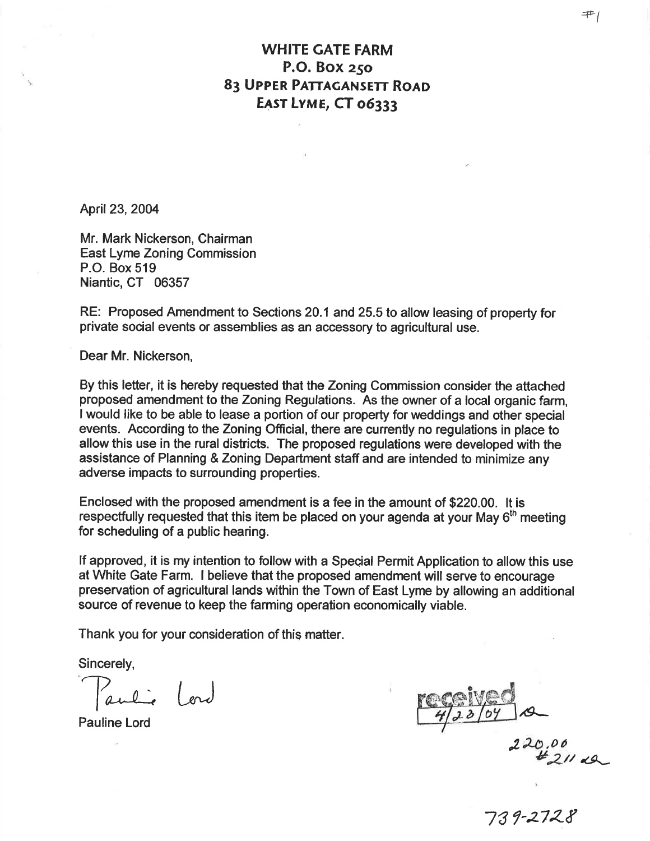## WHITE GATE FARM P.O. Box z5o 83 UPPER PATTAGANSETT ROAD EAST LYME, CT 06333

April 23, 2004

Mr. Mark Nickerson, Chairman East Lyme Zoning Commission P.O. Box 519 Niantic, CT 06357

RE: Proposed Amendment to Sections 20.1 and 25.5 to allow leasing of property for private social events or assemblies as an accessory to agricultural use.

Dear Mr. Nickerson,

By this lefter, it is hereby requested that the Zoning Commission consider the attached proposed amendment to the Zoning Regulations. As the owner of a local organic farm, I would like to be able to lease a portion of our property for weddings and other special events. According to the Zoning Official, there are currently no regulations in place to allow this use in the rural districts. The proposed regulations were developed with the assistance of Planning & Zoning Department staff and are intended to minimize any adverse impacts to surrounding properties.

Enclosed with the proposed amendment is a fee in the amount of \$220.00. lt is respectfully requested that this item be placed on your agenda at your May  $6<sup>th</sup>$  meeting for scheduling of a public hearing.

lf approved, it is my intention to follow with a Special Permit Application to allow this use at White Gate Farm. I believe that the proposed amendment will serve to encourage preservation of agricultural lands within the Town of East Lyme by allowing an additional source of revenue to keep the farming operation economically viable.

Thank you for your consideration of this matter.

Sincerely,

Pauline Lord

Paulie Lord Meglinger

220.0 <sup>0</sup>  $t_{21/2}$ 

73 ?-z7z-&